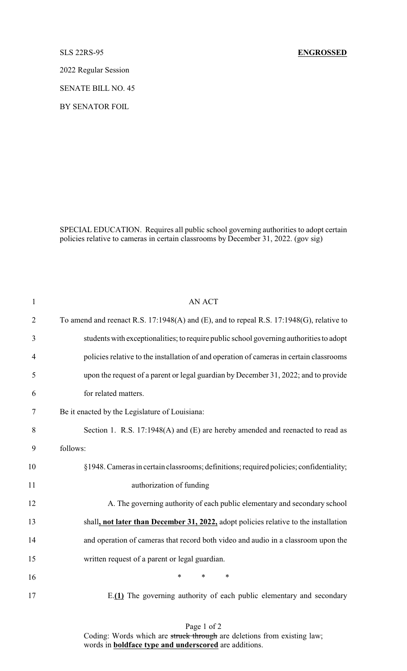2022 Regular Session

SENATE BILL NO. 45

BY SENATOR FOIL

SPECIAL EDUCATION. Requires all public school governing authorities to adopt certain policies relative to cameras in certain classrooms by December 31, 2022. (gov sig)

| $\mathbf{1}$   | <b>AN ACT</b>                                                                            |
|----------------|------------------------------------------------------------------------------------------|
| $\overline{2}$ | To amend and reenact R.S. 17:1948(A) and (E), and to repeal R.S. 17:1948(G), relative to |
| 3              | students with exceptionalities; to require public school governing authorities to adopt  |
| $\overline{4}$ | policies relative to the installation of and operation of cameras in certain classrooms  |
| 5              | upon the request of a parent or legal guardian by December 31, 2022; and to provide      |
| 6              | for related matters.                                                                     |
| 7              | Be it enacted by the Legislature of Louisiana:                                           |
| 8              | Section 1. R.S. 17:1948(A) and (E) are hereby amended and reenacted to read as           |
| 9              | follows:                                                                                 |
| 10             | §1948. Cameras in certain classrooms; definitions; required policies; confidentiality;   |
| 11             | authorization of funding                                                                 |
| 12             | A. The governing authority of each public elementary and secondary school                |
| 13             | shall, not later than December 31, 2022, adopt policies relative to the installation     |
| 14             | and operation of cameras that record both video and audio in a classroom upon the        |
| 15             | written request of a parent or legal guardian.                                           |
| 16             | $\ast$<br>*<br>$\ast$                                                                    |
| 17             | E.(1) The governing authority of each public elementary and secondary                    |

Page 1 of 2 Coding: Words which are struck through are deletions from existing law; words in **boldface type and underscored** are additions.